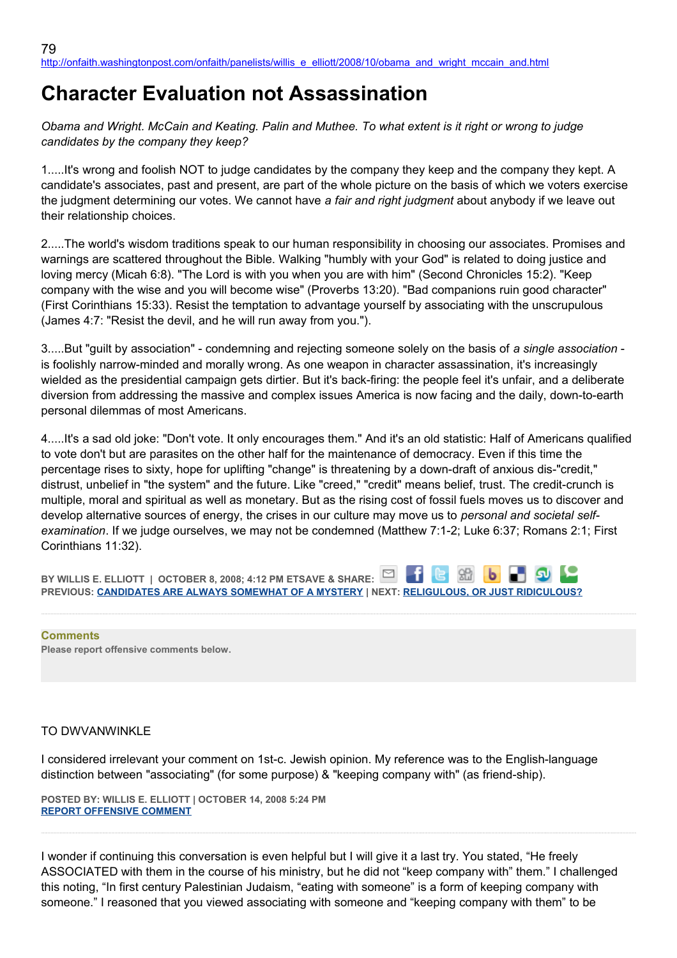## **Character Evaluation not Assassination**

*Obama and Wright. McCain and Keating. Palin and Muthee. To what extent is it right or wrong to judge candidates by the company they keep?*

1.....It's wrong and foolish NOT to judge candidates by the company they keep and the company they kept. A candidate's associates, past and present, are part of the whole picture on the basis of which we voters exercise the judgment determining our votes. We cannot have *a fair and right judgment* about anybody if we leave out their relationship choices.

2.....The world's wisdom traditions speak to our human responsibility in choosing our associates. Promises and warnings are scattered throughout the Bible. Walking "humbly with your God" is related to doing justice and loving mercy (Micah 6:8). "The Lord is with you when you are with him" (Second Chronicles 15:2). "Keep company with the wise and you will become wise" (Proverbs 13:20). "Bad companions ruin good character" (First Corinthians 15:33). Resist the temptation to advantage yourself by associating with the unscrupulous (James 4:7: "Resist the devil, and he will run away from you.").

3.....But "guilt by association" - condemning and rejecting someone solely on the basis of *a single association* is foolishly narrow-minded and morally wrong. As one weapon in character assassination, it's increasingly wielded as the presidential campaign gets dirtier. But it's back-firing: the people feel it's unfair, and a deliberate diversion from addressing the massive and complex issues America is now facing and the daily, down-to-earth personal dilemmas of most Americans.

4.....It's a sad old joke: "Don't vote. It only encourages them." And it's an old statistic: Half of Americans qualified to vote don't but are parasites on the other half for the maintenance of democracy. Even if this time the percentage rises to sixty, hope for uplifting "change" is threatening by a down-draft of anxious dis-"credit," distrust, unbelief in "the system" and the future. Like "creed," "credit" means belief, trust. The credit-crunch is multiple, moral and spiritual as well as monetary. But as the rising cost of fossil fuels moves us to discover and develop alternative sources of energy, the crises in our culture may move us to *personal and societal selfexamination*. If we judge ourselves, we may not be condemned (Matthew 7:1-2; Luke 6:37; Romans 2:1; First Corinthians 11:32).

**BY WILLIS E. ELLIOTT | OCTOBER 8, 2008; 4:12 PM ETSAVE & SHARE:** 981 **PREVIOUS: [CANDIDATES ARE ALWAYS SOMEWHAT OF A MYSTERY](http://onfaith.washingtonpost.com/onfaith/panelists/adin_steinsaltz/2008/10/candidates_are_always_somewhat.html) | NEXT: [RELIGULOUS, OR JUST RIDICULOUS?](http://onfaith.washingtonpost.com/onfaith/panelists/eboo_patel/2008/10/religulous_or_just_ridiculous.html)**

**Comments Please report offensive comments below.**

## TO DWVANWINKLE

I considered irrelevant your comment on 1st-c. Jewish opinion. My reference was to the English-language distinction between "associating" (for some purpose) & "keeping company with" (as friend-ship).

**POSTED BY: WILLIS E. ELLIOTT | OCTOBER 14, 2008 5:24 PM [REPORT OFFENSIVE COMMENT](mailto:blogs@washingtonpost.com?subject=On%20Faith%20Panelists%20Blog%20%20%7C%20%20Willis%20E.%20Elliott%20%20%7C%20%20Character%20Evaluation%20not%20Assassination%20%20%7C%20%204551103&body=%0D%0D%0D%0D%0D================%0D?__mode=view%26_type=comment%26id=4551103%26blog_id=618)**

I wonder if continuing this conversation is even helpful but I will give it a last try. You stated, "He freely ASSOCIATED with them in the course of his ministry, but he did not "keep company with" them." I challenged this noting, "In first century Palestinian Judaism, "eating with someone" is a form of keeping company with someone." I reasoned that you viewed associating with someone and "keeping company with them" to be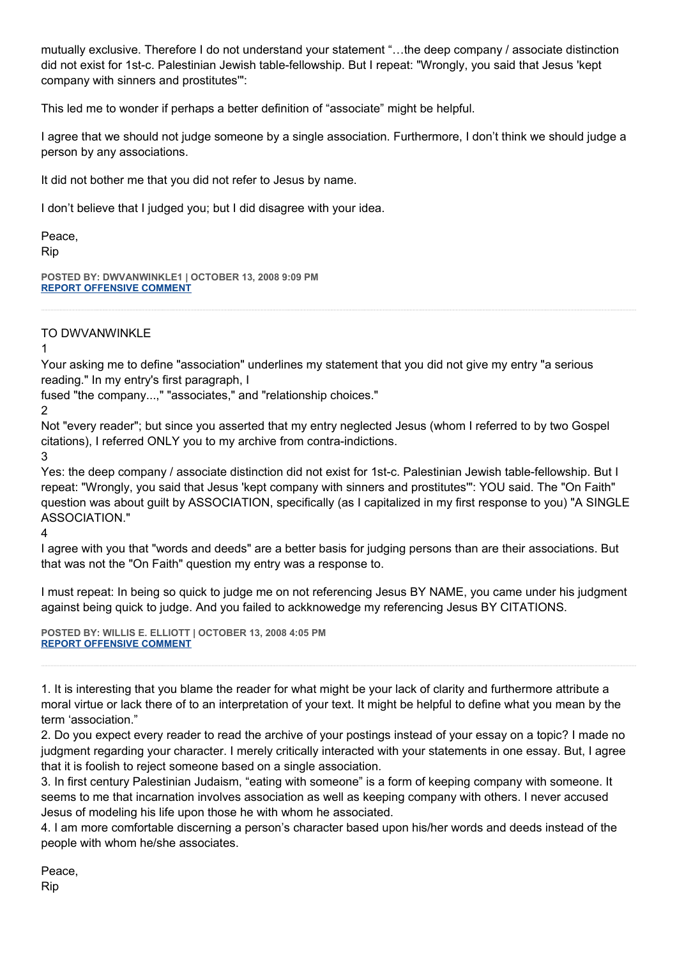mutually exclusive. Therefore I do not understand your statement "…the deep company / associate distinction did not exist for 1st-c. Palestinian Jewish table-fellowship. But I repeat: "Wrongly, you said that Jesus 'kept company with sinners and prostitutes'":

This led me to wonder if perhaps a better definition of "associate" might be helpful.

I agree that we should not judge someone by a single association. Furthermore, I don't think we should judge a person by any associations.

It did not bother me that you did not refer to Jesus by name.

I don't believe that I judged you; but I did disagree with your idea.

Peace, Rip

**POSTED BY: DWVANWINKLE1 | OCTOBER 13, 2008 9:09 PM [REPORT OFFENSIVE COMMENT](mailto:blogs@washingtonpost.com?subject=On%20Faith%20Panelists%20Blog%20%20%7C%20%20DWVanWinkle1%20%20%7C%20%20Character%20Evaluation%20not%20Assassination%20%20%7C%20%204550896&body=%0D%0D%0D%0D%0D================%0D?__mode=view%26_type=comment%26id=4550896%26blog_id=618)**

## TO DWVANWINKLE

1

Your asking me to define "association" underlines my statement that you did not give my entry "a serious reading." In my entry's first paragraph, I

fused "the company...," "associates," and "relationship choices."

2

Not "every reader"; but since you asserted that my entry neglected Jesus (whom I referred to by two Gospel citations), I referred ONLY you to my archive from contra-indictions.

3

Yes: the deep company / associate distinction did not exist for 1st-c. Palestinian Jewish table-fellowship. But I repeat: "Wrongly, you said that Jesus 'kept company with sinners and prostitutes'": YOU said. The "On Faith" question was about guilt by ASSOCIATION, specifically (as I capitalized in my first response to you) "A SINGLE ASSOCIATION."

4

I agree with you that "words and deeds" are a better basis for judging persons than are their associations. But that was not the "On Faith" question my entry was a response to.

I must repeat: In being so quick to judge me on not referencing Jesus BY NAME, you came under his judgment against being quick to judge. And you failed to ackknowedge my referencing Jesus BY CITATIONS.

**POSTED BY: WILLIS E. ELLIOTT | OCTOBER 13, 2008 4:05 PM [REPORT OFFENSIVE COMMENT](mailto:blogs@washingtonpost.com?subject=On%20Faith%20Panelists%20Blog%20%20%7C%20%20Willis%20E.%20Elliott%20%20%7C%20%20Character%20Evaluation%20not%20Assassination%20%20%7C%20%204550839&body=%0D%0D%0D%0D%0D================%0D?__mode=view%26_type=comment%26id=4550839%26blog_id=618)**

1. It is interesting that you blame the reader for what might be your lack of clarity and furthermore attribute a moral virtue or lack there of to an interpretation of your text. It might be helpful to define what you mean by the term 'association."

2. Do you expect every reader to read the archive of your postings instead of your essay on a topic? I made no judgment regarding your character. I merely critically interacted with your statements in one essay. But, I agree that it is foolish to reject someone based on a single association.

3. In first century Palestinian Judaism, "eating with someone" is a form of keeping company with someone. It seems to me that incarnation involves association as well as keeping company with others. I never accused Jesus of modeling his life upon those he with whom he associated.

4. I am more comfortable discerning a person's character based upon his/her words and deeds instead of the people with whom he/she associates.

Peace, Rip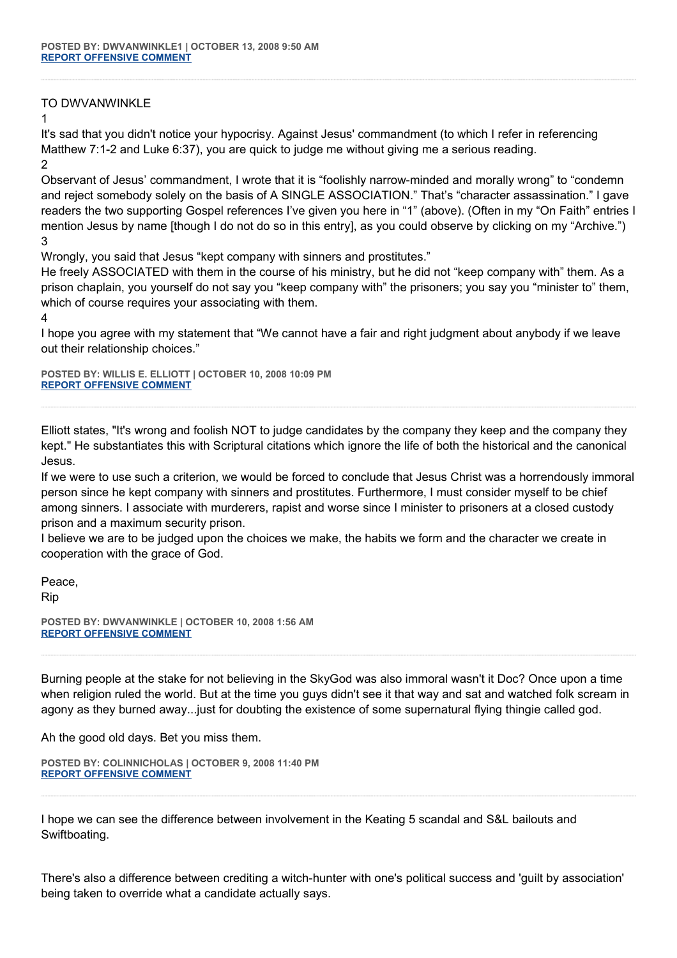## TO DWVANWINKLE

1

It's sad that you didn't notice your hypocrisy. Against Jesus' commandment (to which I refer in referencing Matthew 7:1-2 and Luke 6:37), you are quick to judge me without giving me a serious reading. 2

Observant of Jesus' commandment, I wrote that it is "foolishly narrow-minded and morally wrong" to "condemn and reject somebody solely on the basis of A SINGLE ASSOCIATION." That's "character assassination." I gave readers the two supporting Gospel references I've given you here in "1" (above). (Often in my "On Faith" entries I mention Jesus by name [though I do not do so in this entry], as you could observe by clicking on my "Archive.") 3

Wrongly, you said that Jesus "kept company with sinners and prostitutes."

He freely ASSOCIATED with them in the course of his ministry, but he did not "keep company with" them. As a prison chaplain, you yourself do not say you "keep company with" the prisoners; you say you "minister to" them, which of course requires your associating with them.

4

I hope you agree with my statement that "We cannot have a fair and right judgment about anybody if we leave out their relationship choices."

**POSTED BY: WILLIS E. ELLIOTT | OCTOBER 10, 2008 10:09 PM [REPORT OFFENSIVE COMMENT](mailto:blogs@washingtonpost.com?subject=On%20Faith%20Panelists%20Blog%20%20%7C%20%20Willis%20E.%20Elliott%20%20%7C%20%20Character%20Evaluation%20not%20Assassination%20%20%7C%20%204550175&body=%0D%0D%0D%0D%0D================%0D?__mode=view%26_type=comment%26id=4550175%26blog_id=618)**

Elliott states, "It's wrong and foolish NOT to judge candidates by the company they keep and the company they kept." He substantiates this with Scriptural citations which ignore the life of both the historical and the canonical Jesus.

If we were to use such a criterion, we would be forced to conclude that Jesus Christ was a horrendously immoral person since he kept company with sinners and prostitutes. Furthermore, I must consider myself to be chief among sinners. I associate with murderers, rapist and worse since I minister to prisoners at a closed custody prison and a maximum security prison.

I believe we are to be judged upon the choices we make, the habits we form and the character we create in cooperation with the grace of God.

Peace,

Rip

**POSTED BY: DWVANWINKLE | OCTOBER 10, 2008 1:56 AM [REPORT OFFENSIVE COMMENT](mailto:blogs@washingtonpost.com?subject=On%20Faith%20Panelists%20Blog%20%20%7C%20%20DWVanWinkle%20%20%7C%20%20Character%20Evaluation%20not%20Assassination%20%20%7C%20%204549793&body=%0D%0D%0D%0D%0D================%0D?__mode=view%26_type=comment%26id=4549793%26blog_id=618)**

Burning people at the stake for not believing in the SkyGod was also immoral wasn't it Doc? Once upon a time when religion ruled the world. But at the time you guys didn't see it that way and sat and watched folk scream in agony as they burned away...just for doubting the existence of some supernatural flying thingie called god.

Ah the good old days. Bet you miss them.

```
POSTED BY: COLINNICHOLAS | OCTOBER 9, 2008 11:40 PM
REPORT OFFENSIVE COMMENT
```
I hope we can see the difference between involvement in the Keating 5 scandal and S&L bailouts and Swiftboating.

There's also a difference between crediting a witch-hunter with one's political success and 'guilt by association' being taken to override what a candidate actually says.